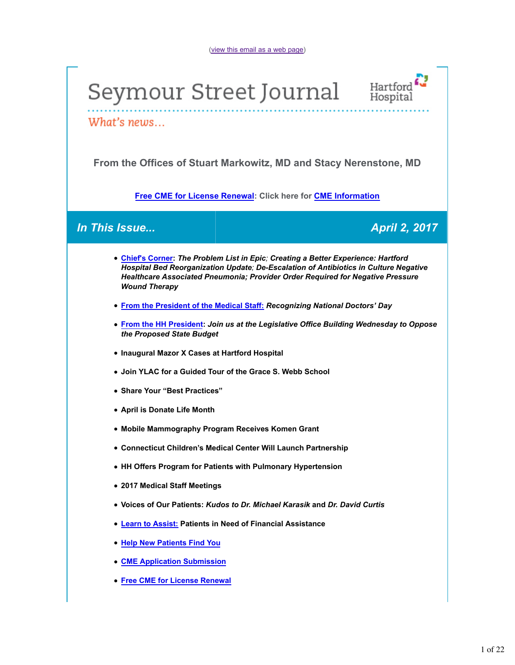(view this email as a web page)

# Seymour Street Journal



What's news...

**From the Offices of Stuart Markowitz, MD and Stacy Nerenstone, MD**

**Free CME for License Renewal: Click here for CME Information**

### *In This Issue... April 2, 2017*

- **Chief's Corner:** *The Problem List in Epic; Creating a Better Experience: Hartford Hospital Bed Reorganization Update; De-Escalation of Antibiotics in Culture Negative Healthcare Associated Pneumonia; Provider Order Required for Negative Pressure Wound Therapy*
- **From the President of the Medical Staff:** *Recognizing National Doctors' Day*
- **From the HH President:** *Join us at the Legislative Office Building Wednesday to Oppose the Proposed State Budget*
- **Inaugural Mazor X Cases at Hartford Hospital**
- **Join YLAC for a Guided Tour of the Grace S. Webb School**
- **Share Your "Best Practices"**
- **April is Donate Life Month**
- **Mobile Mammography Program Receives Komen Grant**
- **Connecticut Children's Medical Center Will Launch Partnership**
- **HH Offers Program for Patients with Pulmonary Hypertension**
- **2017 Medical Staff Meetings**
- **Voices of Our Patients:** *Kudos to Dr. Michael Karasik* **and** *Dr. David Curtis*
- **Learn to Assist: Patients in Need of Financial Assistance**
- **Help New Patients Find You**
- **CME Application Submission**
- **Free CME for License Renewal**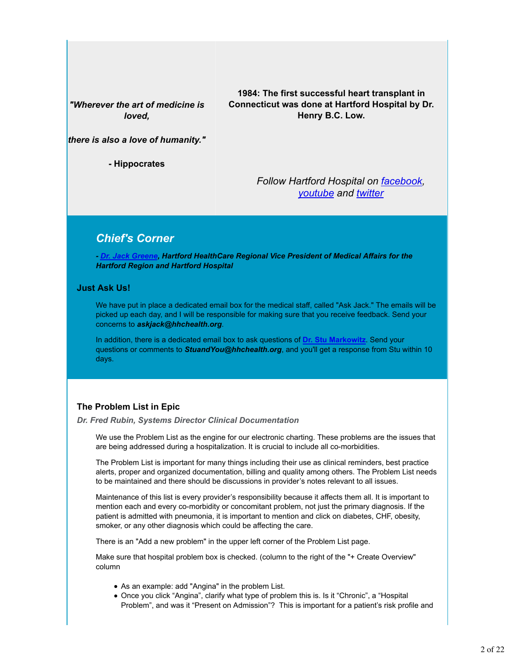*"Wherever the art of medicine is loved,*

**1984: The first successful heart transplant in Connecticut was done at Hartford Hospital by Dr. Henry B.C. Low.**

*there is also a love of humanity."*

**- Hippocrates**

*Follow Hartford Hospital on facebook, youtube and twitter*

### *Chief's Corner*

*- Dr. Jack Greene, Hartford HealthCare Regional Vice President of Medical Affairs for the Hartford Region and Hartford Hospital*

#### **Just Ask Us!**

We have put in place a dedicated email box for the medical staff, called "Ask Jack." The emails will be picked up each day, and I will be responsible for making sure that you receive feedback. Send your concerns to *askjack@hhchealth.org*.

In addition, there is a dedicated email box to ask questions of **Dr. Stu Markowitz**. Send your questions or comments to *StuandYou@hhchealth.org*, and you'll get a response from Stu within 10 days.

#### **The Problem List in Epic**

*Dr. Fred Rubin, Systems Director Clinical Documentation*

We use the Problem List as the engine for our electronic charting. These problems are the issues that are being addressed during a hospitalization. It is crucial to include all co-morbidities.

The Problem List is important for many things including their use as clinical reminders, best practice alerts, proper and organized documentation, billing and quality among others. The Problem List needs to be maintained and there should be discussions in provider's notes relevant to all issues.

Maintenance of this list is every provider's responsibility because it affects them all. It is important to mention each and every co-morbidity or concomitant problem, not just the primary diagnosis. If the patient is admitted with pneumonia, it is important to mention and click on diabetes, CHF, obesity, smoker, or any other diagnosis which could be affecting the care.

There is an "Add a new problem" in the upper left corner of the Problem List page.

Make sure that hospital problem box is checked. (column to the right of the "+ Create Overview" column

- As an example: add "Angina" in the problem List.
- Once you click "Angina", clarify what type of problem this is. Is it "Chronic", a "Hospital Problem", and was it "Present on Admission"? This is important for a patient's risk profile and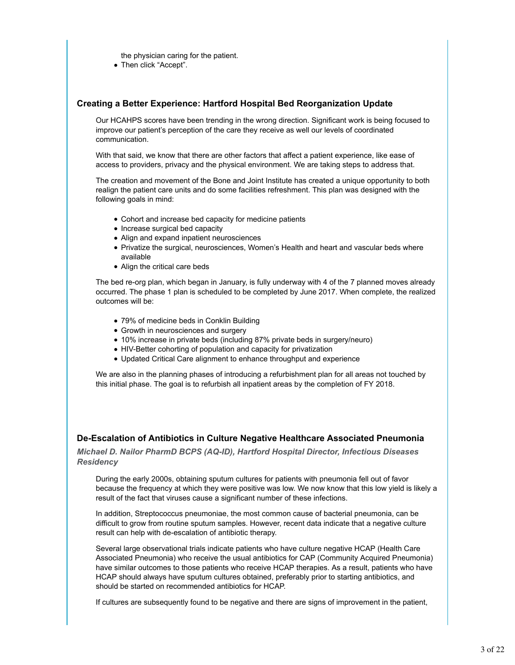the physician caring for the patient.

Then click "Accept".

#### **Creating a Better Experience: Hartford Hospital Bed Reorganization Update**

Our HCAHPS scores have been trending in the wrong direction. Significant work is being focused to improve our patient's perception of the care they receive as well our levels of coordinated communication.

With that said, we know that there are other factors that affect a patient experience, like ease of access to providers, privacy and the physical environment. We are taking steps to address that.

The creation and movement of the Bone and Joint Institute has created a unique opportunity to both realign the patient care units and do some facilities refreshment. This plan was designed with the following goals in mind:

- Cohort and increase bed capacity for medicine patients
- Increase surgical bed capacity
- Align and expand inpatient neurosciences
- Privatize the surgical, neurosciences, Women's Health and heart and vascular beds where available
- Align the critical care beds

The bed re-org plan, which began in January, is fully underway with 4 of the 7 planned moves already occurred. The phase 1 plan is scheduled to be completed by June 2017. When complete, the realized outcomes will be:

- 79% of medicine beds in Conklin Building
- Growth in neurosciences and surgery
- 10% increase in private beds (including 87% private beds in surgery/neuro)
- HIV-Better cohorting of population and capacity for privatization
- Updated Critical Care alignment to enhance throughput and experience

We are also in the planning phases of introducing a refurbishment plan for all areas not touched by this initial phase. The goal is to refurbish all inpatient areas by the completion of FY 2018.

#### **De-Escalation of Antibiotics in Culture Negative Healthcare Associated Pneumonia**

*Michael D. Nailor PharmD BCPS (AQ-ID), Hartford Hospital Director, Infectious Diseases Residency*

During the early 2000s, obtaining sputum cultures for patients with pneumonia fell out of favor because the frequency at which they were positive was low. We now know that this low yield is likely a result of the fact that viruses cause a significant number of these infections.

In addition, Streptococcus pneumoniae, the most common cause of bacterial pneumonia, can be difficult to grow from routine sputum samples. However, recent data indicate that a negative culture result can help with de-escalation of antibiotic therapy.

Several large observational trials indicate patients who have culture negative HCAP (Health Care Associated Pneumonia) who receive the usual antibiotics for CAP (Community Acquired Pneumonia) have similar outcomes to those patients who receive HCAP therapies. As a result, patients who have HCAP should always have sputum cultures obtained, preferably prior to starting antibiotics, and should be started on recommended antibiotics for HCAP.

If cultures are subsequently found to be negative and there are signs of improvement in the patient,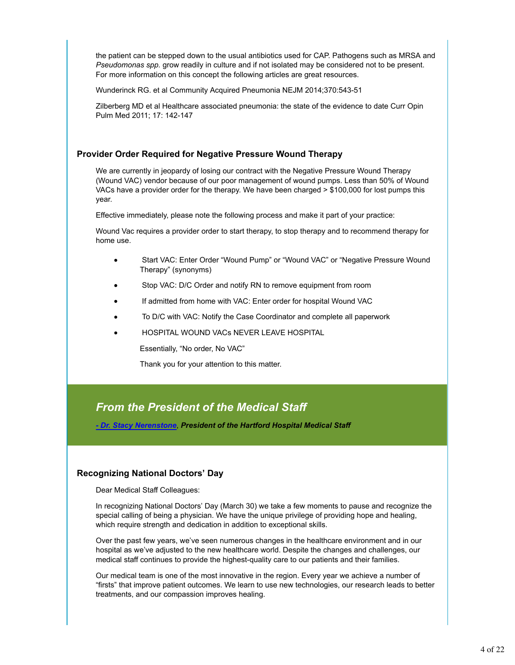the patient can be stepped down to the usual antibiotics used for CAP. Pathogens such as MRSA and *Pseudomonas spp.* grow readily in culture and if not isolated may be considered not to be present. For more information on this concept the following articles are great resources.

Wunderinck RG. et al Community Acquired Pneumonia NEJM 2014;370:543-51

Zilberberg MD et al Healthcare associated pneumonia: the state of the evidence to date Curr Opin Pulm Med 2011; 17: 142-147

#### **Provider Order Required for Negative Pressure Wound Therapy**

We are currently in jeopardy of losing our contract with the Negative Pressure Wound Therapy (Wound VAC) vendor because of our poor management of wound pumps. Less than 50% of Wound VACs have a provider order for the therapy. We have been charged > \$100,000 for lost pumps this year.

Effective immediately, please note the following process and make it part of your practice:

Wound Vac requires a provider order to start therapy, to stop therapy and to recommend therapy for home use.

- Start VAC: Enter Order "Wound Pump" or "Wound VAC" or "Negative Pressure Wound Therapy" (synonyms)
- Stop VAC: D/C Order and notify RN to remove equipment from room
- If admitted from home with VAC: Enter order for hospital Wound VAC
- To D/C with VAC: Notify the Case Coordinator and complete all paperwork
- HOSPITAL WOUND VACs NEVER LEAVE HOSPITAL

Essentially, "No order, No VAC"

Thank you for your attention to this matter.

### *From the President of the Medical Staff*

*- Dr. Stacy Nerenstone*, *President of the Hartford Hospital Medical Staff*

#### **Recognizing National Doctors' Day**

Dear Medical Staff Colleagues:

In recognizing National Doctors' Day (March 30) we take a few moments to pause and recognize the special calling of being a physician. We have the unique privilege of providing hope and healing, which require strength and dedication in addition to exceptional skills.

Over the past few years, we've seen numerous changes in the healthcare environment and in our hospital as we've adjusted to the new healthcare world. Despite the changes and challenges, our medical staff continues to provide the highest-quality care to our patients and their families.

Our medical team is one of the most innovative in the region. Every year we achieve a number of "firsts" that improve patient outcomes. We learn to use new technologies, our research leads to better treatments, and our compassion improves healing.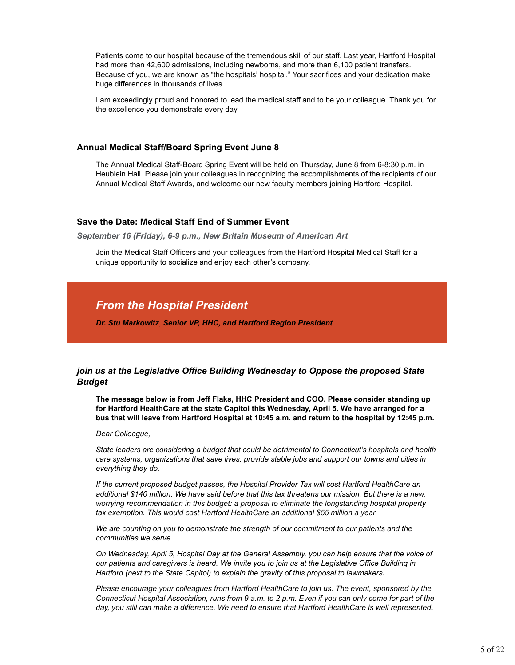Patients come to our hospital because of the tremendous skill of our staff. Last year, Hartford Hospital had more than 42,600 admissions, including newborns, and more than 6,100 patient transfers. Because of you, we are known as "the hospitals' hospital." Your sacrifices and your dedication make huge differences in thousands of lives.

I am exceedingly proud and honored to lead the medical staff and to be your colleague. Thank you for the excellence you demonstrate every day.

#### **Annual Medical Staff/Board Spring Event June 8**

The Annual Medical Staff-Board Spring Event will be held on Thursday, June 8 from 6-8:30 p.m. in Heublein Hall. Please join your colleagues in recognizing the accomplishments of the recipients of our Annual Medical Staff Awards, and welcome our new faculty members joining Hartford Hospital.

#### **Save the Date: Medical Staff End of Summer Event**

*September 16 (Friday), 6-9 p.m., New Britain Museum of American Art*

Join the Medical Staff Officers and your colleagues from the Hartford Hospital Medical Staff for a unique opportunity to socialize and enjoy each other's company.

### *From the Hospital President*

*Dr. Stu Markowitz*, *Senior VP, HHC, and Hartford Region President*

#### *join us at the Legislative Office Building Wednesday to Oppose the proposed State Budget*

**The message below is from Jeff Flaks, HHC President and COO. Please consider standing up for Hartford HealthCare at the state Capitol this Wednesday, April 5. We have arranged for a bus that will leave from Hartford Hospital at 10:45 a.m. and return to the hospital by 12:45 p.m.**

#### *Dear Colleague,*

*State leaders are considering a budget that could be detrimental to Connecticut's hospitals and health care systems; organizations that save lives, provide stable jobs and support our towns and cities in everything they do.*

*If the current proposed budget passes, the Hospital Provider Tax will cost Hartford HealthCare an additional \$140 million. We have said before that this tax threatens our mission. But there is a new, worrying recommendation in this budget: a proposal to eliminate the longstanding hospital property tax exemption. This would cost Hartford HealthCare an additional \$55 million a year.*

*We are counting on you to demonstrate the strength of our commitment to our patients and the communities we serve.*

*On Wednesday, April 5, Hospital Day at the General Assembly, you can help ensure that the voice of our patients and caregivers is heard. We invite you to join us at the Legislative Office Building in Hartford (next to the State Capitol) to explain the gravity of this proposal to lawmakers.*

*Please encourage your colleagues from Hartford HealthCare to join us. The event, sponsored by the Connecticut Hospital Association, runs from 9 a.m. to 2 p.m. Even if you can only come for part of the day, you still can make a difference. We need to ensure that Hartford HealthCare is well represented.*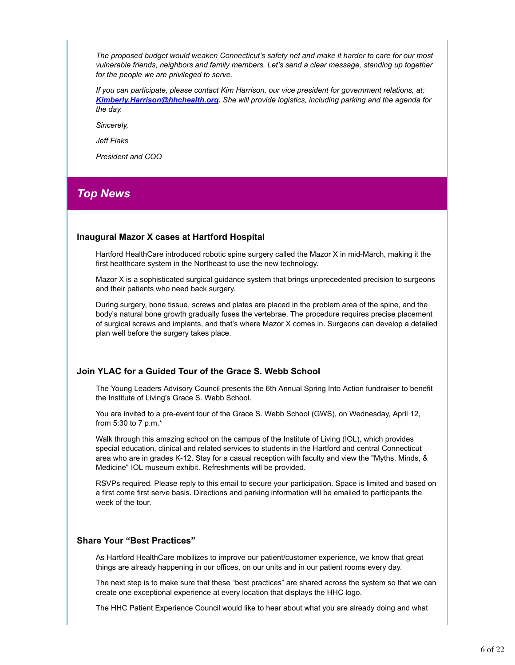*The proposed budget would weaken Connecticut's safety net and make it harder to care for our most vulnerable friends, neighbors and family members. Let's send a clear message, standing up together for the people we are privileged to serve.*

*If you can participate, please contact Kim Harrison, our vice president for government relations, at: Kimberly.Harrison@hhchealth.org. She will provide logistics, including parking and the agenda for the day.*

*Sincerely,*

*Jeff Flaks*

*President and COO*

### *Top News*

#### **Inaugural Mazor X cases at Hartford Hospital**

Hartford HealthCare introduced robotic spine surgery called the Mazor X in mid-March, making it the first healthcare system in the Northeast to use the new technology.

Mazor X is a sophisticated surgical guidance system that brings unprecedented precision to surgeons and their patients who need back surgery.

During surgery, bone tissue, screws and plates are placed in the problem area of the spine, and the body's natural bone growth gradually fuses the vertebrae. The procedure requires precise placement of surgical screws and implants, and that's where Mazor X comes in. Surgeons can develop a detailed plan well before the surgery takes place.

#### **Join YLAC for a Guided Tour of the Grace S. Webb School**

The Young Leaders Advisory Council presents the 6th Annual Spring Into Action fundraiser to benefit the Institute of Living's Grace S. Webb School.

You are invited to a pre-event tour of the Grace S. Webb School (GWS), on Wednesday, April 12, from 5:30 to 7 p.m.\*

Walk through this amazing school on the campus of the Institute of Living (IOL), which provides special education, clinical and related services to students in the Hartford and central Connecticut area who are in grades K-12. Stay for a casual reception with faculty and view the "Myths, Minds, & Medicine" IOL museum exhibit. Refreshments will be provided.

RSVPs required. Please reply to this email to secure your participation. Space is limited and based on a first come first serve basis. Directions and parking information will be emailed to participants the week of the tour.

#### **Share Your "Best Practices"**

As Hartford HealthCare mobilizes to improve our patient/customer experience, we know that great things are already happening in our offices, on our units and in our patient rooms every day.

The next step is to make sure that these "best practices" are shared across the system so that we can create one exceptional experience at every location that displays the HHC logo.

The HHC Patient Experience Council would like to hear about what you are already doing and what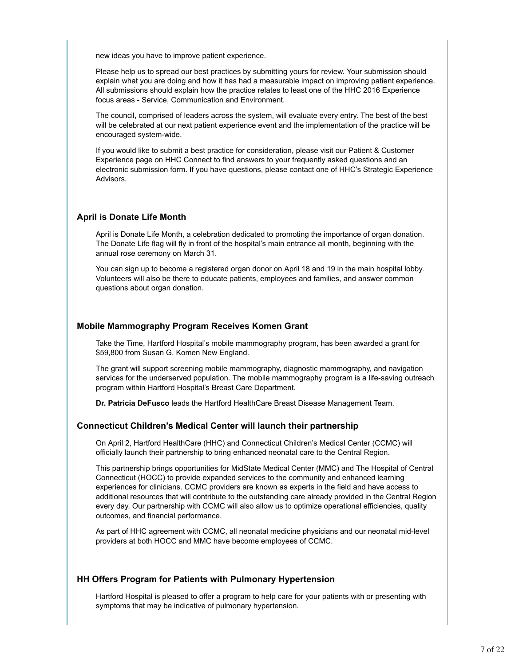new ideas you have to improve patient experience.

Please help us to spread our best practices by submitting yours for review. Your submission should explain what you are doing and how it has had a measurable impact on improving patient experience. All submissions should explain how the practice relates to least one of the HHC 2016 Experience focus areas - Service, Communication and Environment.

The council, comprised of leaders across the system, will evaluate every entry. The best of the best will be celebrated at our next patient experience event and the implementation of the practice will be encouraged system-wide.

If you would like to submit a best practice for consideration, please visit our Patient & Customer Experience page on HHC Connect to find answers to your frequently asked questions and an electronic submission form. If you have questions, please contact one of HHC's Strategic Experience Advisors.

#### **April is Donate Life Month**

April is Donate Life Month, a celebration dedicated to promoting the importance of organ donation. The Donate Life flag will fly in front of the hospital's main entrance all month, beginning with the annual rose ceremony on March 31.

You can sign up to become a registered organ donor on April 18 and 19 in the main hospital lobby. Volunteers will also be there to educate patients, employees and families, and answer common questions about organ donation.

#### **Mobile Mammography Program Receives Komen Grant**

Take the Time, Hartford Hospital's mobile mammography program, has been awarded a grant for \$59,800 from Susan G. Komen New England.

The grant will support screening mobile mammography, diagnostic mammography, and navigation services for the underserved population. The mobile mammography program is a life-saving outreach program within Hartford Hospital's Breast Care Department.

**Dr. Patricia DeFusco** leads the Hartford HealthCare Breast Disease Management Team.

#### **Connecticut Children's Medical Center will launch their partnership**

On April 2, Hartford HealthCare (HHC) and Connecticut Children's Medical Center (CCMC) will officially launch their partnership to bring enhanced neonatal care to the Central Region.

This partnership brings opportunities for MidState Medical Center (MMC) and The Hospital of Central Connecticut (HOCC) to provide expanded services to the community and enhanced learning experiences for clinicians. CCMC providers are known as experts in the field and have access to additional resources that will contribute to the outstanding care already provided in the Central Region every day. Our partnership with CCMC will also allow us to optimize operational efficiencies, quality outcomes, and financial performance.

As part of HHC agreement with CCMC, all neonatal medicine physicians and our neonatal mid-level providers at both HOCC and MMC have become employees of CCMC.

#### **HH Offers Program for Patients with Pulmonary Hypertension**

Hartford Hospital is pleased to offer a program to help care for your patients with or presenting with symptoms that may be indicative of pulmonary hypertension.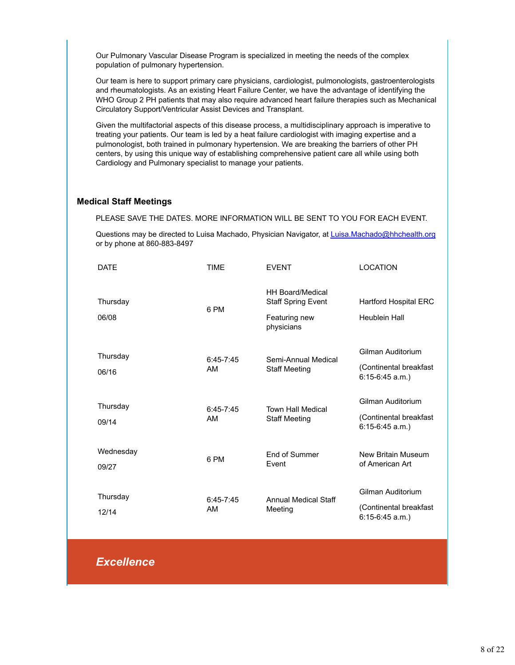Our Pulmonary Vascular Disease Program is specialized in meeting the needs of the complex population of pulmonary hypertension.

Our team is here to support primary care physicians, cardiologist, pulmonologists, gastroenterologists and rheumatologists. As an existing Heart Failure Center, we have the advantage of identifying the WHO Group 2 PH patients that may also require advanced heart failure therapies such as Mechanical Circulatory Support/Ventricular Assist Devices and Transplant.

Given the multifactorial aspects of this disease process, a multidisciplinary approach is imperative to treating your patients. Our team is led by a heat failure cardiologist with imaging expertise and a pulmonologist, both trained in pulmonary hypertension. We are breaking the barriers of other PH centers, by using this unique way of establishing comprehensive patient care all while using both Cardiology and Pulmonary specialist to manage your patients.

#### **Medical Staff Meetings**

PLEASE SAVE THE DATES. MORE INFORMATION WILL BE SENT TO YOU FOR EACH EVENT.

Questions may be directed to Luisa Machado, Physician Navigator, at Luisa.Machado@hhchealth.org or by phone at 860-883-8497

| DATE               | <b>TIME</b>         | <b>EVENT</b>                                                                        | <b>LOCATION</b>                                                  |
|--------------------|---------------------|-------------------------------------------------------------------------------------|------------------------------------------------------------------|
| Thursday<br>06/08  | 6 PM                | <b>HH Board/Medical</b><br><b>Staff Spring Event</b><br>Featuring new<br>physicians | <b>Hartford Hospital ERC</b><br>Heublein Hall                    |
| Thursday<br>06/16  | $6:45 - 7:45$<br>AM | Semi-Annual Medical<br><b>Staff Meeting</b>                                         | Gilman Auditorium<br>(Continental breakfast<br>$6:15-6:45$ a.m.) |
| Thursday<br>09/14  | $6:45 - 7:45$<br>AM | <b>Town Hall Medical</b><br><b>Staff Meeting</b>                                    | Gilman Auditorium<br>(Continental breakfast<br>$6:15-6:45$ a.m.) |
| Wednesday<br>09/27 | 6 PM                | End of Summer<br>Event                                                              | New Britain Museum<br>of American Art                            |
| Thursday<br>12/14  | $6:45 - 7:45$<br>AM | <b>Annual Medical Staff</b><br>Meeting                                              | Gilman Auditorium<br>(Continental breakfast<br>$6:15-6:45$ a.m.) |

*Excellence*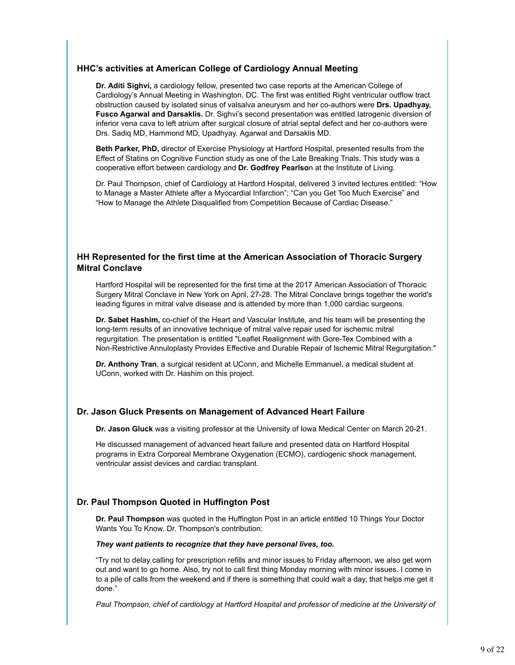#### **HHC's activities at American College of Cardiology Annual Meeting**

**Dr. Aditi Sighvi,** a cardiology fellow, presented two case reports at the American College of Cardiology's Annual Meeting in Washington, DC. The first was entitled Right ventricular outflow tract obstruction caused by isolated sinus of valsalva aneurysm and her co-authors were **Drs. Upadhyay, Fusco Agarwal and Darsaklis.** Dr. Sighvi's second presentation was entitled.Iatrogenic diversion of inferior vena cava to left atrium after surgical closure of atrial septal defect and her co-authors were Drs. Sadiq MD, Hammond MD, Upadhyay. Agarwal and Darsaklis MD.

**Beth Parker, PhD,** director of Exercise Physiology at Hartford Hospital, presented results from the Effect of Statins on Cognitive Function study as one of the Late Breaking Trials. This study was a cooperative effort between cardiology and **Dr. Godfrey Pearlso**n at the Institute of Living.

Dr. Paul Thompson, chief of Cardiology at Hartford Hospital, delivered 3 invited lectures entitled: "How to Manage a Master Athlete after a Myocardial Infarction"; "Can you Get Too Much Exercise" and "How to Manage the Athlete Disqualified from Competition Because of Cardiac Disease."

#### **HH Represented for the first time at the American Association of Thoracic Surgery Mitral Conclave**

Hartford Hospital will be represented for the first time at the 2017 American Association of Thoracic Surgery Mitral Conclave in New York on April, 27-28. The Mitral Conclave brings together the world's leading figures in mitral valve disease and is attended by more than 1,000 cardiac surgeons.

**Dr. Sabet Hashim,** co-chief of the Heart and Vascular Institute, and his team will be presenting the long-term results of an innovative technique of mitral valve repair used for ischemic mitral regurgitation. The presentation is entitled "Leaflet Realignment with Gore-Tex Combined with a Non-Restrictive Annuloplasty Provides Effective and Durable Repair of Ischemic Mitral Regurgitation."

**Dr. Anthony Tran**, a surgical resident at UConn, and Michelle Emmanuel, a medical student at UConn, worked with Dr. Hashim on this project.

#### **Dr. Jason Gluck Presents on Management of Advanced Heart Failure**

**Dr. Jason Gluck** was a visiting professor at the University of Iowa Medical Center on March 20-21.

He discussed management of advanced heart failure and presented data on Hartford Hospital programs in Extra Corporeal Membrane Oxygenation (ECMO), cardiogenic shock management, ventricular assist devices and cardiac transplant.

#### **Dr. Paul Thompson Quoted in Huffington Post**

**Dr. Paul Thompson** was quoted in the Huffington Post in an article entitled 10 Things Your Doctor Wants You To Know. Dr. Thompson's contribution:

#### *They want patients to recognize that they have personal lives, too.*

"Try not to delay calling for prescription refills and minor issues to Friday afternoon, we also get worn out and want to go home. Also, try not to call first thing Monday morning with minor issues. I come in to a pile of calls from the weekend and if there is something that could wait a day, that helps me get it done."

*Paul Thompson, chief of cardiology at Hartford Hospital and professor of medicine at the University of*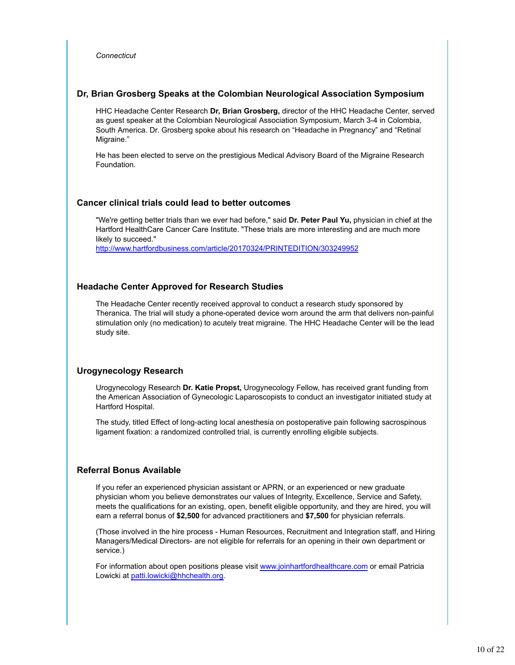*Connecticut*

#### **Dr, Brian Grosberg Speaks at the Colombian Neurological Association Symposium**

HHC Headache Center Research **Dr, Brian Grosberg,** director of the HHC Headache Center, served as guest speaker at the Colombian Neurological Association Symposium, March 3-4 in Colombia, South America. Dr. Grosberg spoke about his research on "Headache in Pregnancy" and "Retinal Migraine."

He has been elected to serve on the prestigious Medical Advisory Board of the Migraine Research Foundation.

#### **Cancer clinical trials could lead to better outcomes**

"We're getting better trials than we ever had before," said **Dr. Peter Paul Yu,** physician in chief at the Hartford HealthCare Cancer Care Institute. "These trials are more interesting and are much more likely to succeed."

http://www.hartfordbusiness.com/article/20170324/PRINTEDITION/303249952

#### **Headache Center Approved for Research Studies**

The Headache Center recently received approval to conduct a research study sponsored by Theranica. The trial will study a phone-operated device worn around the arm that delivers non-painful stimulation only (no medication) to acutely treat migraine. The HHC Headache Center will be the lead study site.

#### **Urogynecology Research**

Urogynecology Research **Dr. Katie Propst,** Urogynecology Fellow, has received grant funding from the American Association of Gynecologic Laparoscopists to conduct an investigator initiated study at Hartford Hospital.

The study, titled Effect of long-acting local anesthesia on postoperative pain following sacrospinous ligament fixation: a randomized controlled trial, is currently enrolling eligible subjects.

#### **Referral Bonus Available**

If you refer an experienced physician assistant or APRN, or an experienced or new graduate physician whom you believe demonstrates our values of Integrity, Excellence, Service and Safety, meets the qualifications for an existing, open, benefit eligible opportunity, and they are hired, you will earn a referral bonus of **\$2,500** for advanced practitioners and **\$7,500** for physician referrals.

(Those involved in the hire process - Human Resources, Recruitment and Integration staff, and Hiring Managers/Medical Directors- are not eligible for referrals for an opening in their own department or service.)

For information about open positions please visit www.joinhartfordhealthcare.com or email Patricia Lowicki at patti.lowicki@hhchealth.org.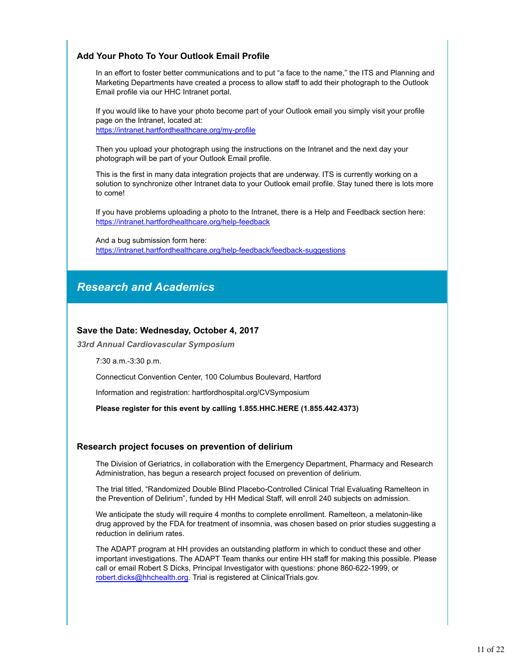#### **Add Your Photo To Your Outlook Email Profile**

In an effort to foster better communications and to put "a face to the name," the ITS and Planning and Marketing Departments have created a process to allow staff to add their photograph to the Outlook Email profile via our HHC Intranet portal.

If you would like to have your photo become part of your Outlook email you simply visit your profile page on the Intranet, located at: https://intranet.hartfordhealthcare.org/my-profile

Then you upload your photograph using the instructions on the Intranet and the next day your photograph will be part of your Outlook Email profile.

This is the first in many data integration projects that are underway. ITS is currently working on a solution to synchronize other Intranet data to your Outlook email profile. Stay tuned there is lots more to come!

If you have problems uploading a photo to the Intranet, there is a Help and Feedback section here: https://intranet.hartfordhealthcare.org/help-feedback

And a bug submission form here: https://intranet.hartfordhealthcare.org/help-feedback/feedback-suggestions

### *Research and Academics*

#### **Save the Date: Wednesday, October 4, 2017**

*33rd Annual Cardiovascular Symposium*

7:30 a.m.-3:30 p.m.

Connecticut Convention Center, 100 Columbus Boulevard, Hartford

Information and registration: hartfordhospital.org/CVSymposium

**Please register for this event by calling 1.855.HHC.HERE (1.855.442.4373)**

#### **Research project focuses on prevention of delirium**

The Division of Geriatrics, in collaboration with the Emergency Department, Pharmacy and Research Administration, has begun a research project focused on prevention of delirium.

The trial titled, "Randomized Double Blind Placebo-Controlled Clinical Trial Evaluating Ramelteon in the Prevention of Delirium", funded by HH Medical Staff, will enroll 240 subjects on admission.

We anticipate the study will require 4 months to complete enrollment. Ramelteon, a melatonin-like drug approved by the FDA for treatment of insomnia, was chosen based on prior studies suggesting a reduction in delirium rates.

The ADAPT program at HH provides an outstanding platform in which to conduct these and other important investigations. The ADAPT Team thanks our entire HH staff for making this possible. Please call or email Robert S Dicks, Principal Investigator with questions: phone 860-622-1999, or robert.dicks@hhchealth.org. Trial is registered at ClinicalTrials.gov.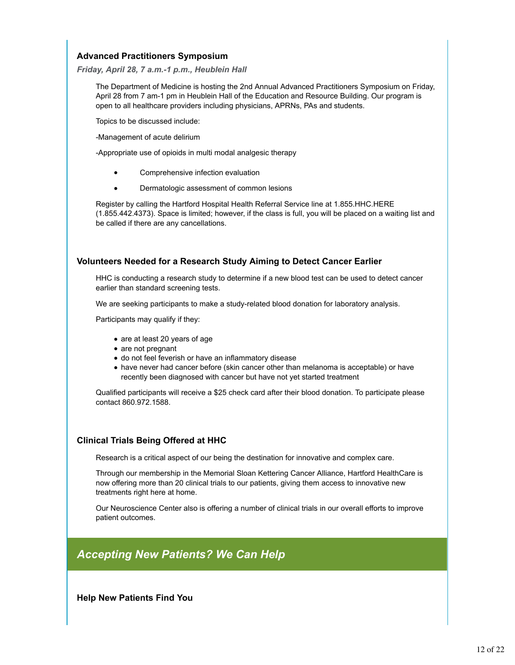#### **Advanced Practitioners Symposium**

#### *Friday, April 28, 7 a.m.-1 p.m., Heublein Hall*

The Department of Medicine is hosting the 2nd Annual Advanced Practitioners Symposium on Friday, April 28 from 7 am-1 pm in Heublein Hall of the Education and Resource Building. Our program is open to all healthcare providers including physicians, APRNs, PAs and students.

Topics to be discussed include:

-Management of acute delirium

-Appropriate use of opioids in multi modal analgesic therapy

- Comprehensive infection evaluation
- Dermatologic assessment of common lesions

Register by calling the Hartford Hospital Health Referral Service line at 1.855.HHC.HERE (1.855.442.4373). Space is limited; however, if the class is full, you will be placed on a waiting list and be called if there are any cancellations.

#### **Volunteers Needed for a Research Study Aiming to Detect Cancer Earlier**

HHC is conducting a research study to determine if a new blood test can be used to detect cancer earlier than standard screening tests.

We are seeking participants to make a study-related blood donation for laboratory analysis.

Participants may qualify if they:

- are at least 20 years of age
- are not pregnant
- do not feel feverish or have an inflammatory disease
- have never had cancer before (skin cancer other than melanoma is acceptable) or have recently been diagnosed with cancer but have not yet started treatment

Qualified participants will receive a \$25 check card after their blood donation. To participate please contact 860.972.1588.

#### **Clinical Trials Being Offered at HHC**

Research is a critical aspect of our being the destination for innovative and complex care.

Through our membership in the Memorial Sloan Kettering Cancer Alliance, Hartford HealthCare is now offering more than 20 clinical trials to our patients, giving them access to innovative new treatments right here at home.

Our Neuroscience Center also is offering a number of clinical trials in our overall efforts to improve patient outcomes.

### *Accepting New Patients? We Can Help*

**Help New Patients Find You**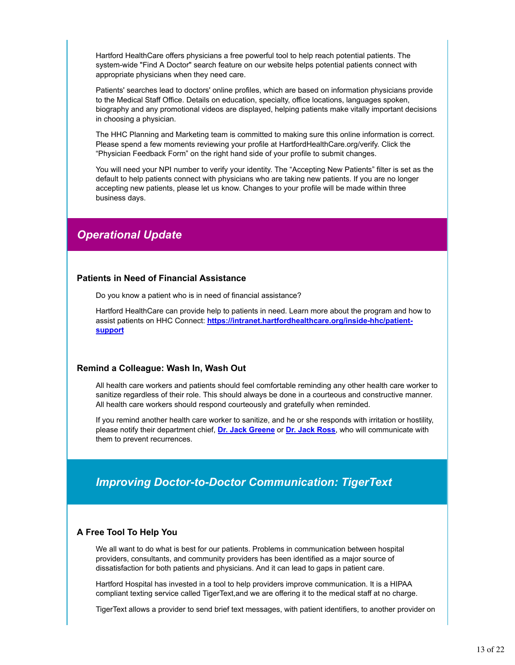Hartford HealthCare offers physicians a free powerful tool to help reach potential patients. The system-wide "Find A Doctor" search feature on our website helps potential patients connect with appropriate physicians when they need care.

Patients' searches lead to doctors' online profiles, which are based on information physicians provide to the Medical Staff Office. Details on education, specialty, office locations, languages spoken, biography and any promotional videos are displayed, helping patients make vitally important decisions in choosing a physician.

The HHC Planning and Marketing team is committed to making sure this online information is correct. Please spend a few moments reviewing your profile at HartfordHealthCare.org/verify. Click the "Physician Feedback Form" on the right hand side of your profile to submit changes.

You will need your NPI number to verify your identity. The "Accepting New Patients" filter is set as the default to help patients connect with physicians who are taking new patients. If you are no longer accepting new patients, please let us know. Changes to your profile will be made within three business days.

### *Operational Update*

#### **Patients in Need of Financial Assistance**

Do you know a patient who is in need of financial assistance?

Hartford HealthCare can provide help to patients in need. Learn more about the program and how to assist patients on HHC Connect: **https://intranet.hartfordhealthcare.org/inside-hhc/patientsupport**

#### **Remind a Colleague: Wash In, Wash Out**

All health care workers and patients should feel comfortable reminding any other health care worker to sanitize regardless of their role. This should always be done in a courteous and constructive manner. All health care workers should respond courteously and gratefully when reminded.

If you remind another health care worker to sanitize, and he or she responds with irritation or hostility, please notify their department chief, **Dr. Jack Greene** or **Dr. Jack Ross**, who will communicate with them to prevent recurrences.

### *Improving Doctor-to-Doctor Communication: TigerText*

#### **A Free Tool To Help You**

We all want to do what is best for our patients. Problems in communication between hospital providers, consultants, and community providers has been identified as a major source of dissatisfaction for both patients and physicians. And it can lead to gaps in patient care.

Hartford Hospital has invested in a tool to help providers improve communication. It is a HIPAA compliant texting service called TigerText,and we are offering it to the medical staff at no charge.

TigerText allows a provider to send brief text messages, with patient identifiers, to another provider on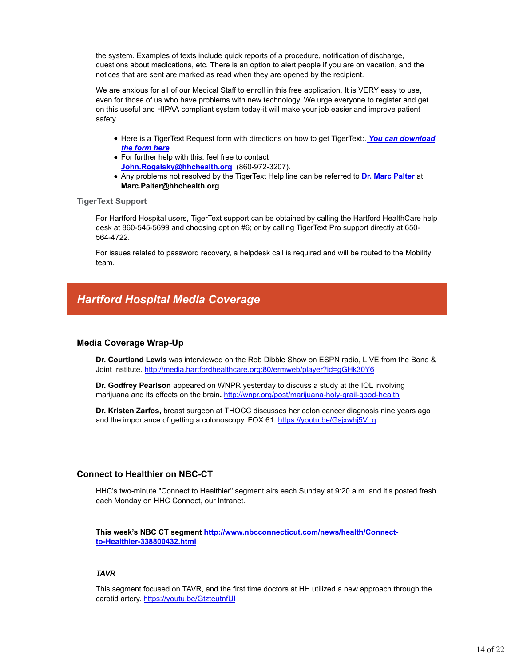the system. Examples of texts include quick reports of a procedure, notification of discharge, questions about medications, etc. There is an option to alert people if you are on vacation, and the notices that are sent are marked as read when they are opened by the recipient.

We are anxious for all of our Medical Staff to enroll in this free application. It is VERY easy to use, even for those of us who have problems with new technology. We urge everyone to register and get on this useful and HIPAA compliant system today-it will make your job easier and improve patient safety.

- Here is a TigerText Request form with directions on how to get TigerText:. *You can download the form here*
- For further help with this, feel free to contact **John.Rogalsky@hhchealth.org** (860-972-3207).
- Any problems not resolved by the TigerText Help line can be referred to **Dr. Marc Palter** at **Marc.Palter@hhchealth.org**.

#### **TigerText Support**

For Hartford Hospital users, TigerText support can be obtained by calling the Hartford HealthCare help desk at 860-545-5699 and choosing option #6; or by calling TigerText Pro support directly at 650- 564-4722.

For issues related to password recovery, a helpdesk call is required and will be routed to the Mobility team.

### *Hartford Hospital Media Coverage*

#### **Media Coverage Wrap-Up**

**Dr. Courtland Lewis** was interviewed on the Rob Dibble Show on ESPN radio, LIVE from the Bone & Joint Institute. http://media.hartfordhealthcare.org:80/ermweb/player?id=gGHk30Y6

**Dr. Godfrey Pearlson** appeared on WNPR yesterday to discuss a study at the IOL involving marijuana and its effects on the brain**.** http://wnpr.org/post/marijuana-holy-grail-good-health

**Dr. Kristen Zarfos,** breast surgeon at THOCC discusses her colon cancer diagnosis nine years ago and the importance of getting a colonoscopy. FOX 61: https://youtu.be/Gsjxwhj5V\_g

#### **Connect to Healthier on NBC-CT**

HHC's two-minute "Connect to Healthier" segment airs each Sunday at 9:20 a.m. and it's posted fresh each Monday on HHC Connect, our Intranet.

**This week's NBC CT segment http://www.nbcconnecticut.com/news/health/Connectto-Healthier-338800432.html**

#### *TAVR*

This segment focused on TAVR, and the first time doctors at HH utilized a new approach through the carotid artery. https://youtu.be/GtzteutnfUI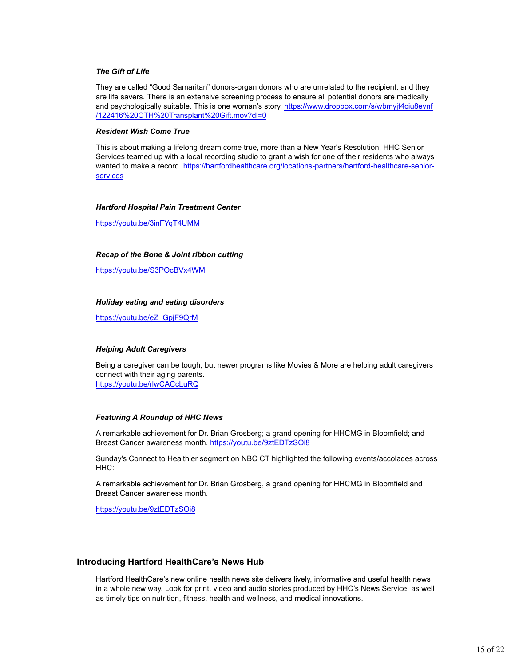#### *The Gift of Life*

They are called "Good Samaritan" donors-organ donors who are unrelated to the recipient, and they are life savers. There is an extensive screening process to ensure all potential donors are medically and psychologically suitable. This is one woman's story. https://www.dropbox.com/s/wbmyjt4ciu8evnf /122416%20CTH%20Transplant%20Gift.mov?dl=0

#### *Resident Wish Come True*

This is about making a lifelong dream come true, more than a New Year's Resolution. HHC Senior Services teamed up with a local recording studio to grant a wish for one of their residents who always wanted to make a record. https://hartfordhealthcare.org/locations-partners/hartford-healthcare-seniorservices

#### *Hartford Hospital Pain Treatment Center*

https://youtu.be/3inFYqT4UMM

#### *Recap of the Bone & Joint ribbon cutting*

https://youtu.be/S3POcBVx4WM

#### *Holiday eating and eating disorders*

https://youtu.be/eZ\_GpjF9QrM

#### *Helping Adult Caregivers*

Being a caregiver can be tough, but newer programs like Movies & More are helping adult caregivers connect with their aging parents. https://youtu.be/rlwCACcLuRQ

## *Featuring A Roundup of HHC News*

A remarkable achievement for Dr. Brian Grosberg; a grand opening for HHCMG in Bloomfield; and Breast Cancer awareness month. https://youtu.be/9ztEDTzSOi8

Sunday's Connect to Healthier segment on NBC CT highlighted the following events/accolades across HHC:

A remarkable achievement for Dr. Brian Grosberg, a grand opening for HHCMG in Bloomfield and Breast Cancer awareness month.

https://youtu.be/9ztEDTzSOi8

#### **Introducing Hartford HealthCare's News Hub**

Hartford HealthCare's new online health news site delivers lively, informative and useful health news in a whole new way. Look for print, video and audio stories produced by HHC's News Service, as well as timely tips on nutrition, fitness, health and wellness, and medical innovations.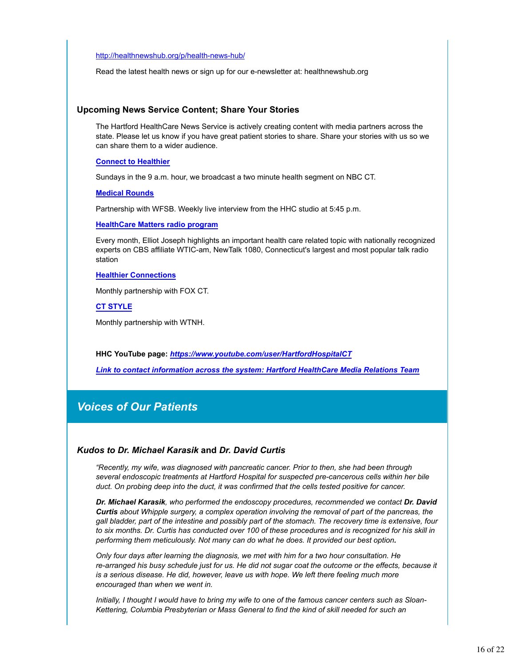#### http://healthnewshub.org/p/health-news-hub/

Read the latest health news or sign up for our e-newsletter at: healthnewshub.org

#### **Upcoming News Service Content; Share Your Stories**

The Hartford HealthCare News Service is actively creating content with media partners across the state. Please let us know if you have great patient stories to share. Share your stories with us so we can share them to a wider audience.

#### **Connect to Healthier**

Sundays in the 9 a.m. hour, we broadcast a two minute health segment on NBC CT.

**Medical Rounds**

Partnership with WFSB. Weekly live interview from the HHC studio at 5:45 p.m.

#### **HealthCare Matters radio program**

Every month, Elliot Joseph highlights an important health care related topic with nationally recognized experts on CBS affiliate WTIC-am, NewTalk 1080, Connecticut's largest and most popular talk radio station

#### **Healthier Connections**

Monthly partnership with FOX CT.

#### **CT STYLE**

Monthly partnership with WTNH.

**HHC YouTube page:** *https://www.youtube.com/user/HartfordHospitalCT*

*Link to contact information across the system: Hartford HealthCare Media Relations Team*

### *Voices of Our Patients*

#### *Kudos to Dr. Michael Karasik* **and** *Dr. David Curtis*

*"Recently, my wife, was diagnosed with pancreatic cancer. Prior to then, she had been through several endoscopic treatments at Hartford Hospital for suspected pre-cancerous cells within her bile duct. On probing deep into the duct, it was confirmed that the cells tested positive for cancer.*

*Dr. Michael Karasik, who performed the endoscopy procedures, recommended we contact Dr. David Curtis about Whipple surgery, a complex operation involving the removal of part of the pancreas, the gall bladder, part of the intestine and possibly part of the stomach. The recovery time is extensive, four to six months. Dr. Curtis has conducted over 100 of these procedures and is recognized for his skill in performing them meticulously. Not many can do what he does. It provided our best option.*

*Only four days after learning the diagnosis, we met with him for a two hour consultation. He re-arranged his busy schedule just for us. He did not sugar coat the outcome or the effects, because it is a serious disease. He did, however, leave us with hope. We left there feeling much more encouraged than when we went in.*

*Initially, I thought I would have to bring my wife to one of the famous cancer centers such as Sloan-Kettering, Columbia Presbyterian or Mass General to find the kind of skill needed for such an*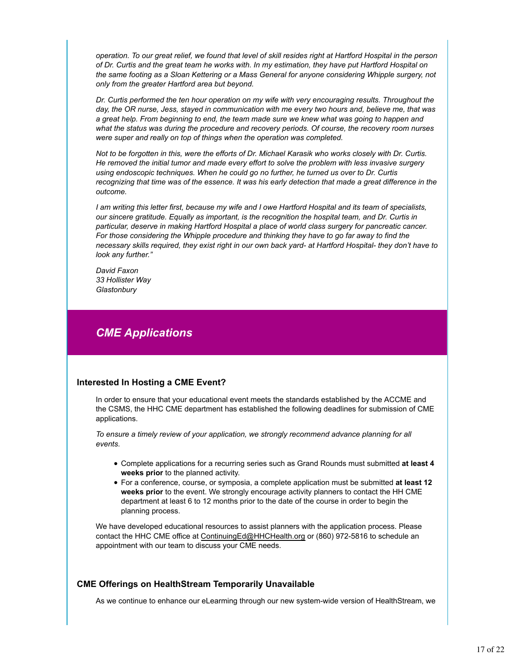*operation. To our great relief, we found that level of skill resides right at Hartford Hospital in the person of Dr. Curtis and the great team he works with. In my estimation, they have put Hartford Hospital on the same footing as a Sloan Kettering or a Mass General for anyone considering Whipple surgery, not only from the greater Hartford area but beyond.*

*Dr. Curtis performed the ten hour operation on my wife with very encouraging results. Throughout the day, the OR nurse, Jess, stayed in communication with me every two hours and, believe me, that was a great help. From beginning to end, the team made sure we knew what was going to happen and what the status was during the procedure and recovery periods. Of course, the recovery room nurses were super and really on top of things when the operation was completed.*

*Not to be forgotten in this, were the efforts of Dr. Michael Karasik who works closely with Dr. Curtis. He removed the initial tumor and made every effort to solve the problem with less invasive surgery using endoscopic techniques. When he could go no further, he turned us over to Dr. Curtis recognizing that time was of the essence. It was his early detection that made a great difference in the outcome.*

*I am writing this letter first, because my wife and I owe Hartford Hospital and its team of specialists, our sincere gratitude. Equally as important, is the recognition the hospital team, and Dr. Curtis in particular, deserve in making Hartford Hospital a place of world class surgery for pancreatic cancer. For those considering the Whipple procedure and thinking they have to go far away to find the necessary skills required, they exist right in our own back yard- at Hartford Hospital- they don't have to look any further."*

*David Faxon 33 Hollister Way Glastonbury*

### *CME Applications*

#### **Interested In Hosting a CME Event?**

In order to ensure that your educational event meets the standards established by the ACCME and the CSMS, the HHC CME department has established the following deadlines for submission of CME applications.

*To ensure a timely review of your application, we strongly recommend advance planning for all events.* 

- Complete applications for a recurring series such as Grand Rounds must submitted **at least 4 weeks prior** to the planned activity.
- For a conference, course, or symposia, a complete application must be submitted **at least 12 weeks prior** to the event. We strongly encourage activity planners to contact the HH CME department at least 6 to 12 months prior to the date of the course in order to begin the planning process.

We have developed educational resources to assist planners with the application process. Please contact the HHC CME office at ContinuingEd@HHCHealth.org or (860) 972-5816 to schedule an appointment with our team to discuss your CME needs.

#### **CME Offerings on HealthStream Temporarily Unavailable**

As we continue to enhance our eLearming through our new system-wide version of HealthStream, we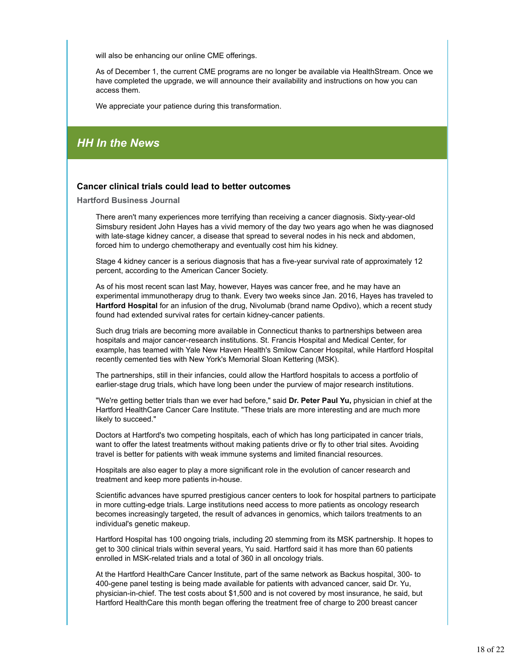will also be enhancing our online CME offerings.

As of December 1, the current CME programs are no longer be available via HealthStream. Once we have completed the upgrade, we will announce their availability and instructions on how you can access them.

We appreciate your patience during this transformation.

### *HH In the News*

#### **Cancer clinical trials could lead to better outcomes**

**Hartford Business Journal**

There aren't many experiences more terrifying than receiving a cancer diagnosis. Sixty-year-old Simsbury resident John Hayes has a vivid memory of the day two years ago when he was diagnosed with late-stage kidney cancer, a disease that spread to several nodes in his neck and abdomen, forced him to undergo chemotherapy and eventually cost him his kidney.

Stage 4 kidney cancer is a serious diagnosis that has a five-year survival rate of approximately 12 percent, according to the American Cancer Society.

As of his most recent scan last May, however, Hayes was cancer free, and he may have an experimental immunotherapy drug to thank. Every two weeks since Jan. 2016, Hayes has traveled to **Hartford Hospital** for an infusion of the drug, Nivolumab (brand name Opdivo), which a recent study found had extended survival rates for certain kidney-cancer patients.

Such drug trials are becoming more available in Connecticut thanks to partnerships between area hospitals and major cancer-research institutions. St. Francis Hospital and Medical Center, for example, has teamed with Yale New Haven Health's Smilow Cancer Hospital, while Hartford Hospital recently cemented ties with New York's Memorial Sloan Kettering (MSK).

The partnerships, still in their infancies, could allow the Hartford hospitals to access a portfolio of earlier-stage drug trials, which have long been under the purview of major research institutions.

"We're getting better trials than we ever had before," said **Dr. Peter Paul Yu,** physician in chief at the Hartford HealthCare Cancer Care Institute. "These trials are more interesting and are much more likely to succeed."

Doctors at Hartford's two competing hospitals, each of which has long participated in cancer trials, want to offer the latest treatments without making patients drive or fly to other trial sites. Avoiding travel is better for patients with weak immune systems and limited financial resources.

Hospitals are also eager to play a more significant role in the evolution of cancer research and treatment and keep more patients in-house.

Scientific advances have spurred prestigious cancer centers to look for hospital partners to participate in more cutting-edge trials. Large institutions need access to more patients as oncology research becomes increasingly targeted, the result of advances in genomics, which tailors treatments to an individual's genetic makeup.

Hartford Hospital has 100 ongoing trials, including 20 stemming from its MSK partnership. It hopes to get to 300 clinical trials within several years, Yu said. Hartford said it has more than 60 patients enrolled in MSK-related trials and a total of 360 in all oncology trials.

At the Hartford HealthCare Cancer Institute, part of the same network as Backus hospital, 300- to 400-gene panel testing is being made available for patients with advanced cancer, said Dr. Yu, physician-in-chief. The test costs about \$1,500 and is not covered by most insurance, he said, but Hartford HealthCare this month began offering the treatment free of charge to 200 breast cancer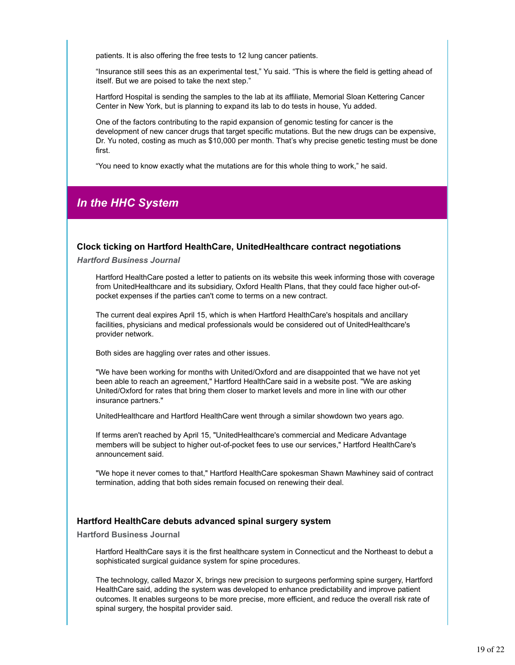patients. It is also offering the free tests to 12 lung cancer patients.

"Insurance still sees this as an experimental test," Yu said. "This is where the field is getting ahead of itself. But we are poised to take the next step."

Hartford Hospital is sending the samples to the lab at its affiliate, Memorial Sloan Kettering Cancer Center in New York, but is planning to expand its lab to do tests in house, Yu added.

One of the factors contributing to the rapid expansion of genomic testing for cancer is the development of new cancer drugs that target specific mutations. But the new drugs can be expensive, Dr. Yu noted, costing as much as \$10,000 per month. That's why precise genetic testing must be done first.

"You need to know exactly what the mutations are for this whole thing to work," he said.

### *In the HHC System*

#### **Clock ticking on Hartford HealthCare, UnitedHealthcare contract negotiations**

*Hartford Business Journal*

Hartford HealthCare posted a letter to patients on its website this week informing those with coverage from UnitedHealthcare and its subsidiary, Oxford Health Plans, that they could face higher out-ofpocket expenses if the parties can't come to terms on a new contract.

The current deal expires April 15, which is when Hartford HealthCare's hospitals and ancillary facilities, physicians and medical professionals would be considered out of UnitedHealthcare's provider network.

Both sides are haggling over rates and other issues.

"We have been working for months with United/Oxford and are disappointed that we have not yet been able to reach an agreement," Hartford HealthCare said in a website post. "We are asking United/Oxford for rates that bring them closer to market levels and more in line with our other insurance partners."

UnitedHealthcare and Hartford HealthCare went through a similar showdown two years ago.

If terms aren't reached by April 15, "UnitedHealthcare's commercial and Medicare Advantage members will be subject to higher out-of-pocket fees to use our services," Hartford HealthCare's announcement said.

"We hope it never comes to that," Hartford HealthCare spokesman Shawn Mawhiney said of contract termination, adding that both sides remain focused on renewing their deal.

#### **Hartford HealthCare debuts advanced spinal surgery system**

#### **Hartford Business Journal**

Hartford HealthCare says it is the first healthcare system in Connecticut and the Northeast to debut a sophisticated surgical guidance system for spine procedures.

The technology, called Mazor X, brings new precision to surgeons performing spine surgery, Hartford HealthCare said, adding the system was developed to enhance predictability and improve patient outcomes. It enables surgeons to be more precise, more efficient, and reduce the overall risk rate of spinal surgery, the hospital provider said.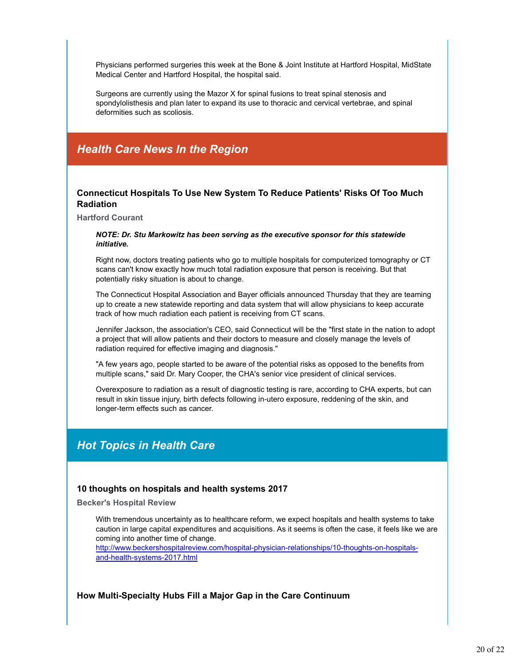Physicians performed surgeries this week at the Bone & Joint Institute at Hartford Hospital, MidState Medical Center and Hartford Hospital, the hospital said.

Surgeons are currently using the Mazor X for spinal fusions to treat spinal stenosis and spondylolisthesis and plan later to expand its use to thoracic and cervical vertebrae, and spinal deformities such as scoliosis.

### *Health Care News In the Region*

#### **Connecticut Hospitals To Use New System To Reduce Patients' Risks Of Too Much Radiation**

**Hartford Courant**

#### *NOTE: Dr. Stu Markowitz has been serving as the executive sponsor for this statewide initiative.*

Right now, doctors treating patients who go to multiple hospitals for computerized tomography or CT scans can't know exactly how much total radiation exposure that person is receiving. But that potentially risky situation is about to change.

The Connecticut Hospital Association and Bayer officials announced Thursday that they are teaming up to create a new statewide reporting and data system that will allow physicians to keep accurate track of how much radiation each patient is receiving from CT scans.

Jennifer Jackson, the association's CEO, said Connecticut will be the "first state in the nation to adopt a project that will allow patients and their doctors to measure and closely manage the levels of radiation required for effective imaging and diagnosis."

"A few years ago, people started to be aware of the potential risks as opposed to the benefits from multiple scans," said Dr. Mary Cooper, the CHA's senior vice president of clinical services.

Overexposure to radiation as a result of diagnostic testing is rare, according to CHA experts, but can result in skin tissue injury, birth defects following in-utero exposure, reddening of the skin, and longer-term effects such as cancer.

### *Hot Topics in Health Care*

#### **10 thoughts on hospitals and health systems 2017**

**Becker's Hospital Review**

With tremendous uncertainty as to healthcare reform, we expect hospitals and health systems to take caution in large capital expenditures and acquisitions. As it seems is often the case, it feels like we are coming into another time of change.

http://www.beckershospitalreview.com/hospital-physician-relationships/10-thoughts-on-hospitalsand-health-systems-2017.html

#### **How Multi-Specialty Hubs Fill a Major Gap in the Care Continuum**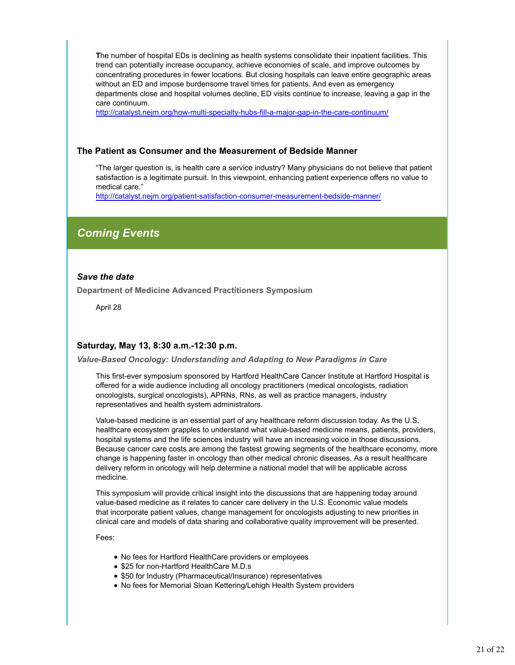**T**he number of hospital EDs is declining as health systems consolidate their inpatient facilities. This trend can potentially increase occupancy, achieve economies of scale, and improve outcomes by concentrating procedures in fewer locations. But closing hospitals can leave entire geographic areas without an ED and impose burdensome travel times for patients. And even as emergency departments close and hospital volumes decline, ED visits continue to increase, leaving a gap in the care continuum.

http://catalyst.nejm.org/how-multi-specialty-hubs-fill-a-major-gap-in-the-care-continuum/

#### **The Patient as Consumer and the Measurement of Bedside Manner**

"The larger question is, is health care a service industry? Many physicians do not believe that patient satisfaction is a legitimate pursuit. In this viewpoint, enhancing patient experience offers no value to medical care."

http://catalyst.nejm.org/patient-satisfaction-consumer-measurement-bedside-manner/

### *Coming Events*

#### *Save the date*

**Department of Medicine Advanced Practitioners Symposium**

April 28

#### **Saturday, May 13, 8:30 a.m.-12:30 p.m.**

*Value-Based Oncology: Understanding and Adapting to New Paradigms in Care*

This first-ever symposium sponsored by Hartford HealthCare Cancer Institute at Hartford Hospital is offered for a wide audience including all oncology practitioners (medical oncologists, radiation oncologists, surgical oncologists), APRNs, RNs, as well as practice managers, industry representatives and health system administrators.

Value-based medicine is an essential part of any healthcare reform discussion today. As the U.S. healthcare ecosystem grapples to understand what value-based medicine means, patients, providers, hospital systems and the life sciences industry will have an increasing voice in those discussions. Because cancer care costs are among the fastest growing segments of the healthcare economy, more change is happening faster in oncology than other medical chronic diseases. As a result healthcare delivery reform in oncology will help determine a national model that will be applicable across medicine.

This symposium will provide critical insight into the discussions that are happening today around value-based medicine as it relates to cancer care delivery in the U.S. Economic value models that incorporate patient values, change management for oncologists adjusting to new priorities in clinical care and models of data sharing and collaborative quality improvement will be presented.

Fees:

- No fees for Hartford HealthCare providers or employees
- \$25 for non-Hartford HealthCare M.D.s
- \$50 for Industry (Pharmaceutical/Insurance) representatives
- No fees for Memorial Sloan Kettering/Lehigh Health System providers